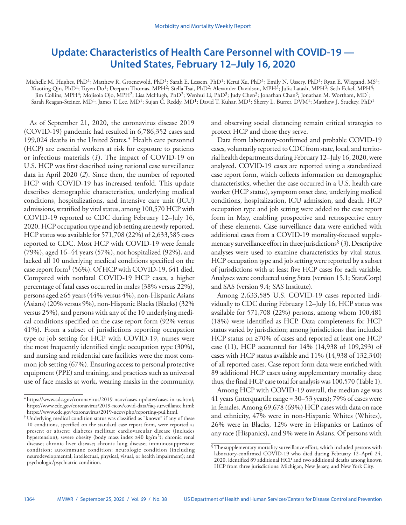# **Update: Characteristics of Health Care Personnel with COVID-19 — United States, February 12–July 16, 2020**

Michelle M. Hughes, PhD<sup>1</sup>; Matthew R. Groenewold, PhD<sup>1</sup>; Sarah E. Lessem, PhD<sup>1</sup>; Kerui Xu, PhD<sup>1</sup>; Emily N. Ussery, PhD<sup>1</sup>; Ryan E. Wiegand, MS<sup>1</sup>; Xiaoting Qin, PhD1; Tuyen Do1; Deepam Thomas, MPH2; Stella Tsai, PhD2; Alexander Davidson, MPH3; Julia Latash, MPH3; Seth Eckel, MPH4; Jim Collins, MPH<sup>4</sup>; Mojisola Ojo, MPH<sup>2</sup>; Lisa McHugh, PhD<sup>2</sup>; Wenhui Li, PhD<sup>3</sup>; Judy Chen<sup>3</sup>; Jonathan Chan<sup>3</sup>; Jonathan M. Wortham, MD<sup>1</sup>; Sarah Reagan-Steiner, MD<sup>1</sup>; James T. Lee, MD<sup>1</sup>; Sujan C. Reddy, MD<sup>1</sup>; David T. Kuhar, MD<sup>1</sup>; Sherry L. Burrer, DVM<sup>1</sup>; Matthew J. Stuckey, PhD<sup>1</sup>

As of September 21, 2020, the coronavirus disease 2019 (COVID-19) pandemic had resulted in 6,786,352 cases and 199,024 deaths in the United States.\* Health care personnel (HCP) are essential workers at risk for exposure to patients or infectious materials (*1*). The impact of COVID-19 on U.S. HCP was first described using national case surveillance data in April 2020 (*2*). Since then, the number of reported HCP with COVID-19 has increased tenfold. This update describes demographic characteristics, underlying medical conditions, hospitalizations, and intensive care unit (ICU) admissions, stratified by vital status, among 100,570 HCP with COVID-19 reported to CDC during February 12–July 16, 2020. HCP occupation type and job setting are newly reported. HCP status was available for 571,708 (22%) of 2,633,585 cases reported to CDC. Most HCP with COVID-19 were female (79%), aged 16–44 years (57%), not hospitalized (92%), and lacked all 10 underlying medical conditions specified on the case report form† (56%). Of HCP with COVID-19, 641 died. Compared with nonfatal COVID-19 HCP cases, a higher percentage of fatal cases occurred in males (38% versus 22%), persons aged ≥65 years (44% versus 4%), non-Hispanic Asians (Asians) (20% versus 9%), non-Hispanic Blacks (Blacks) (32% versus 25%), and persons with any of the 10 underlying medical conditions specified on the case report form (92% versus 41%). From a subset of jurisdictions reporting occupation type or job setting for HCP with COVID-19, nurses were the most frequently identified single occupation type (30%), and nursing and residential care facilities were the most common job setting (67%). Ensuring access to personal protective equipment (PPE) and training, and practices such as universal use of face masks at work, wearing masks in the community,

and observing social distancing remain critical strategies to protect HCP and those they serve.

Data from laboratory-confirmed and probable COVID-19 cases, voluntarily reported to CDC from state, local, and territorial health departments during February 12–July 16, 2020, were analyzed. COVID-19 cases are reported using a standardized case report form, which collects information on demographic characteristics, whether the case occurred in a U.S. health care worker (HCP status), symptom onset date, underlying medical conditions, hospitalization, ICU admission, and death. HCP occupation type and job setting were added to the case report form in May, enabling prospective and retrospective entry of these elements. Case surveillance data were enriched with additional cases from a COVID-19 mortality-focused supplementary surveillance effort in three jurisdictions§ (*3*). Descriptive analyses were used to examine characteristics by vital status. HCP occupation type and job setting were reported by a subset of jurisdictions with at least five HCP cases for each variable. Analyses were conducted using Stata (version 15.1; StataCorp) and SAS (version 9.4; SAS Institute).

Among 2,633,585 U.S. COVID-19 cases reported individually to CDC during February 12–July 16, HCP status was available for 571,708 (22%) persons, among whom 100,481 (18%) were identified as HCP. Data completeness for HCP status varied by jurisdiction; among jurisdictions that included HCP status on ≥70% of cases and reported at least one HCP case (11), HCP accounted for 14% (14,938 of 109,293) of cases with HCP status available and 11% (14,938 of 132,340) of all reported cases. Case report form data were enriched with 89 additional HCP cases using supplementary mortality data; thus, the final HCP case total for analysis was 100,570 (Table 1).

Among HCP with COVID-19 overall, the median age was 41 years (interquartile range = 30–53 years); 79% of cases were in females. Among 69,678 (69%) HCP cases with data on race and ethnicity, 47% were in non-Hispanic Whites (Whites), 26% were in Blacks, 12% were in Hispanics or Latinos of any race (Hispanics), and 9% were in Asians. Of persons with

<sup>\*</sup> <https://www.cdc.gov/coronavirus/2019-ncov/cases-updates/cases-in-us.html>; <https://www.cdc.gov/coronavirus/2019-ncov/covid-data/faq-surveillance.html>;

<sup>&</sup>lt;sup>†</sup> Underlying medical condition status was classified as "known" if any of these 10 conditions, specified on the standard case report form, were reported as present or absent: diabetes mellitus; cardiovascular disease (includes hypertension); severe obesity (body mass index  $\geq 40 \text{ kg/m}^2$ ); chronic renal disease; chronic liver disease; chronic lung disease; immunosuppressive condition; autoimmune condition; neurologic condition (including neurodevelopmental, intellectual, physical, visual, or health impairment); and psychologic/psychiatric condition.

 $^\mathbb{S}\!$  The supplementary mortality surveillance effort, which included persons with laboratory-confirmed COVID-19 who died during February 12–April 24, 2020, identified 89 additional HCP and two additional deaths among known HCP from three jurisdictions: Michigan, New Jersey, and New York City.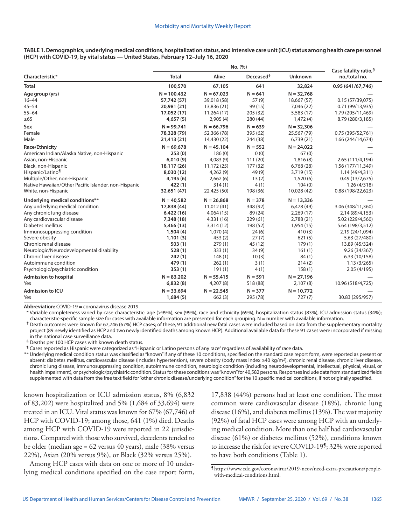| TABLE 1. Demographics, underlying medical conditions, hospitalization status, and intensive care unit (ICU) status among health care personnel |  |
|------------------------------------------------------------------------------------------------------------------------------------------------|--|
| (HCP) with COVID-19, by vital status — United States, February 12–July 16, 2020                                                                |  |

|                                                      | No. (%)       |              |                       |                | Case fatality ratio, <sup>§</sup> |
|------------------------------------------------------|---------------|--------------|-----------------------|----------------|-----------------------------------|
| Characteristic*                                      | <b>Total</b>  | Alive        | Deceased <sup>+</sup> | <b>Unknown</b> | no./total no.                     |
| <b>Total</b>                                         | 100,570       | 67,105       | 641                   | 32,824         | 0.95 (641/67,746)                 |
| Age group (yrs)                                      | $N = 100,432$ | $N = 67,023$ | $N = 641$             | $N = 32,768$   |                                   |
| $16 - 44$                                            | 57,742 (57)   | 39,018 (58)  | 57(9)                 | 18,667 (57)    | 0.15(57/39,075)                   |
| $45 - 54$                                            | 20,981 (21)   | 13,836 (21)  | 99 (15)               | 7,046 (22)     | 0.71(99/13,935)                   |
| $55 - 64$                                            | 17,052 (17)   | 11,264 (17)  | 205 (32)              | 5,583(17)      | 1.79 (205/11,469)                 |
| $\geq 65$                                            | 4,657 (5)     | 2,905(4)     | 280 (44)              | 1,472(4)       | 8.79 (280/3,185)                  |
| Sex                                                  | $N = 99,741$  | $N = 66,796$ | $N = 639$             | $N = 32,306$   |                                   |
| Female                                               | 78,328 (79)   | 52,366 (78)  | 395 (62)              | 25,567 (79)    | 0.75 (395/52,761)                 |
| Male                                                 | 21,413 (21)   | 14,430 (22)  | 244 (38)              | 6,739(21)      | 1.66 (244/14,674)                 |
| Race/Ethnicity                                       | $N = 69,678$  | $N = 45,104$ | $N = 552$             | $N = 24,022$   |                                   |
| American Indian/Alaska Native, non-Hispanic          | 253(0)        | 186(0)       | 0(0)                  | 67(0)          |                                   |
| Asian, non-Hispanic                                  | 6,010(9)      | 4,083(9)     | 111(20)               | 1,816(8)       | 2.65 (111/4,194)                  |
| Black, non-Hispanic                                  | 18,117 (26)   | 11,172 (25)  | 177 (32)              | 6,768(28)      | 1.56 (177/11,349)                 |
| Hispanic/Latino <sup>1</sup>                         | 8,030 (12)    | 4,262(9)     | 49 (9)                | 3,719 (15)     | 1.14(49/4,311)                    |
| Multiple/Other, non-Hispanic                         | 4,195(6)      | 2,662(6)     | 13(2)                 | 1,520(6)       | 0.49(13/2,675)                    |
| Native Hawaiian/Other Pacific Islander, non-Hispanic | 422(1)        | 314(1)       | 4(1)                  | 104(0)         | 1.26(4/318)                       |
| White, non-Hispanic                                  | 32,651 (47)   | 22,425 (50)  | 198 (36)              | 10,028 (42)    | 0.88(198/22.623)                  |
| Underlying medical conditions**                      | $N = 40,582$  | $N = 26,868$ | $N = 378$             | $N = 13,336$   |                                   |
| Any underlying medical condition                     | 17,838 (44)   | 11,012 (41)  | 348 (92)              | 6,478 (49)     | 3.06 (348/11,360)                 |
| Any chronic lung disease                             | 6,422(16)     | 4,064(15)    | 89 (24)               | 2,269(17)      | 2.14 (89/4,153)                   |
| Any cardiovascular disease                           | 7,348 (18)    | 4,331(16)    | 229(61)               | 2,788(21)      | 5.02 (229/4,560)                  |
| Diabetes mellitus                                    | 5,466 (13)    | 3,314(12)    | 198 (52)              | 1,954(15)      | 5.64 (198/3,512)                  |
| Immunosuppressing condition                          | 1,504(4)      | 1,070(4)     | 24(6)                 | 410(3)         | 2.19 (24/1,094)                   |
| Severe obesity                                       | 1,101(3)      | 453(2)       | 27(7)                 | 621(5)         | 5.63 (27/480)                     |
| Chronic renal disease                                | 503(1)        | 279(1)       | 45 (12)               | 179(1)         | 13.89 (45/324)                    |
| Neurologic/Neurodevelopmental disability             | 528(1)        | 333(1)       | 34(9)                 | 161(1)         | 9.26 (34/367)                     |
| Chronic liver disease                                | 242(1)        | 148(1)       | 10(3)                 | 84(1)          | 6.33(10/158)                      |
| Autoimmune condition                                 | 479(1)        | 262(1)       | 3(1)                  | 214(2)         | 1.13(3/265)                       |
| Psychologic/psychiatric condition                    | 353(1)        | 191(1)       | 4(1)                  | 158(1)         | 2.05(4/195)                       |
| <b>Admission to hospital</b>                         | $N = 83,202$  | $N = 55,415$ | $N = 591$             | $N = 27,196$   |                                   |
| Yes                                                  | 6,832(8)      | 4,207(8)     | 518 (88)              | 2,107(8)       | 10.96 (518/4,725)                 |
| <b>Admission to ICU</b>                              | $N = 33,694$  | $N = 22,545$ | $N = 377$             | $N = 10,772$   |                                   |
| Yes                                                  | 1,684(5)      | 662(3)       | 295 (78)              | 727(7)         | 30.83 (295/957)                   |

**Abbreviation:** COVID-19 = coronavirus disease 2019.

\* Variable completeness varied by case characteristic: age (>99%), sex (99%), race and ethnicity (69%), hospitalization status (83%), ICU admission status (34%); characteristic-specific sample size for cases with available information are presented for each grouping. N = number with available information.

† Death outcomes were known for 67,746 (67%) HCP cases; of these, 91 additional new fatal cases were included based on data from the supplementary mortality project (89 newly identified as HCP and two newly identified deaths among known HCP). Additional available data for these 91 cases were incorporated if missing in the national case surveillance data.

§ Deaths per 100 HCP cases with known death status.

¶ Cases reported as Hispanic were categorized as "Hispanic or Latino persons of any race" regardless of availability of race data.

\*\* Underlying medical condition status was classified as "known" if any of these 10 conditions, specified on the standard case report form, were reported as present or absent: diabetes mellitus, cardiovascular disease (includes hypertension), severe obesity (body mass index ≥40 kg/m<sup>2</sup>), chronic renal disease, chronic liver disease, chronic lung disease, immunosuppressing condition, autoimmune condition, neurologic condition (including neurodevelopmental, intellectual, physical, visual, or health impairment), or psychologic/psychiatric condition. Status for these conditions was "known" for 40,582 persons. Responses include data from standardized fields supplemented with data from the free text field for "other chronic disease/underlying condition" for the 10 specific medical conditions, if not originally specified.

known hospitalization or ICU admission status, 8% (6,832 of 83,202) were hospitalized and 5% (1,684 of 33,694) were treated in an ICU. Vital status was known for 67% (67,746) of HCP with COVID-19; among those, 641 (1%) died. Deaths among HCP with COVID-19 were reported in 22 jurisdictions. Compared with those who survived, decedents tended to be older (median age = 62 versus 40 years), male (38% versus 22%), Asian (20% versus 9%), or Black (32% versus 25%).

Among HCP cases with data on one or more of 10 underlying medical conditions specified on the case report form, 17,838 (44%) persons had at least one condition. The most common were cardiovascular disease (18%), chronic lung disease (16%), and diabetes mellitus (13%). The vast majority (92%) of fatal HCP cases were among HCP with an underlying medical condition. More than one half had cardiovascular disease (61%) or diabetes mellitus (52%), conditions known to increase the risk for severe COVID-19¶; 32% were reported to have both conditions (Table 1).

<sup>¶</sup> [https://www.cdc.gov/coronavirus/2019-ncov/need-extra-precautions/people](https://www.cdc.gov/coronavirus/2019-ncov/need-extra-precautions/people-with-medical-conditions.html)[with-medical-conditions.html](https://www.cdc.gov/coronavirus/2019-ncov/need-extra-precautions/people-with-medical-conditions.html).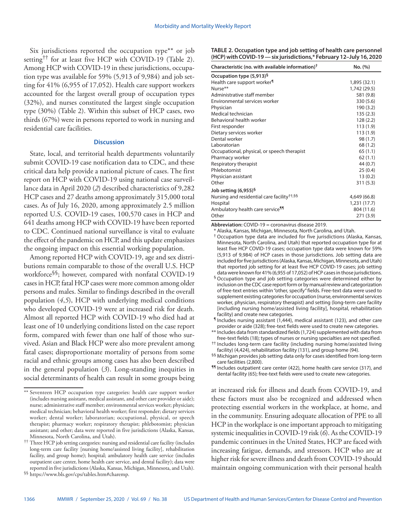Six jurisdictions reported the occupation type\*\* or job setting†† for at least five HCP with COVID-19 (Table 2). Among HCP with COVID-19 in these jurisdictions, occupation type was available for 59% (5,913 of 9,984) and job setting for 41% (6,955 of 17,052). Health care support workers accounted for the largest overall group of occupation types (32%), and nurses constituted the largest single occupation type (30%) (Table 2). Within this subset of HCP cases, two thirds (67%) were in persons reported to work in nursing and residential care facilities.

## **Discussion**

State, local, and territorial health departments voluntarily submit COVID-19 case notification data to CDC, and these critical data help provide a national picture of cases. The first report on HCP with COVID-19 using national case surveillance data in April 2020 (*2*) described characteristics of 9,282 HCP cases and 27 deaths among approximately 315,000 total cases. As of July 16, 2020, among approximately 2.5 million reported U.S. COVID-19 cases, 100,570 cases in HCP and 641 deaths among HCP with COVID-19 have been reported to CDC. Continued national surveillance is vital to evaluate the effect of the pandemic on HCP, and this update emphasizes the ongoing impact on this essential working population.

Among reported HCP with COVID-19, age and sex distributions remain comparable to those of the overall U.S. HCP workforce§§; however, compared with nonfatal COVID-19 cases in HCP, fatal HCP cases were more common among older persons and males. Similar to findings described in the overall population (*4*,*5*), HCP with underlying medical conditions who developed COVID-19 were at increased risk for death. Almost all reported HCP with COVID-19 who died had at least one of 10 underlying conditions listed on the case report form, compared with fewer than one half of those who survived. Asian and Black HCP were also more prevalent among fatal cases; disproportionate mortality of persons from some racial and ethnic groups among cases has also been described in the general population (*3*). Long-standing inequities in social determinants of health can result in some groups being

**TABLE 2. Occupation type and job setting of health care personnel (HCP) with COVID-19 — six jurisdictions,\* February 12–July 16, 2020**

| Characteristic (no. with available information) <sup>†</sup> | No. (%)      |
|--------------------------------------------------------------|--------------|
| Occupation type (5,913) <sup>§</sup>                         |              |
| Health care support worker <sup>¶</sup>                      | 1,895 (32.1) |
| Nurse**                                                      | 1,742 (29.5) |
| Administrative staff member                                  | 581 (9.8)    |
| Environmental services worker                                | 330 (5.6)    |
| Physician                                                    | 190 (3.2)    |
| Medical technician                                           | 135(2.3)     |
| Behavioral health worker                                     | 128 (2.2)    |
| First responder                                              | 113(1.9)     |
| Dietary services worker                                      | 113(1.9)     |
| Dental worker                                                | 98 (1.7)     |
| Laboratorian                                                 | 68 (1.2)     |
| Occupational, physical, or speech therapist                  | 65(1.1)      |
| Pharmacy worker                                              | 62(1.1)      |
| Respiratory therapist                                        | 44 (0.7)     |
| Phlebotomist                                                 | 25(0.4)      |
| Physician assistant                                          | 13(0.2)      |
| Other                                                        | 311 (5.3)    |
| Job setting (6,955) <sup>§</sup>                             |              |
| Nursing and residential care facility <sup>††,§§</sup>       | 4,649 (66.8) |
| Hospital                                                     | 1,231 (17.7) |
| Ambulatory health care service <sup>¶¶</sup>                 | 804 (11.6)   |
| Other                                                        | 271 (3.9)    |

**Abbreviation:** COVID-19 = coronavirus disease 2019.

\* Alaska, Kansas, Michigan, Minnesota, North Carolina, and Utah.

- † Occupation type data are included for five jurisdictions (Alaska, Kansas, Minnesota, North Carolina, and Utah) that reported occupation type for at least five HCP COVID-19 cases; occupation type data were known for 59% (5,913 of 9,984) of HCP cases in those jurisdictions. Job setting data are included for five jurisdictions (Alaska, Kansas, Michigan, Minnesota, and Utah) that reported job setting for at least five HCP COVID-19 cases; job setting data were known for 41% (6,955 of 17,052) of HCP cases in those jurisdictions.
- § Occupation type and job setting categories were determined either by inclusion on the CDC case report form or by manual review and categorization of free-text entries within "other, specify" fields. Free-text data were used to supplement existing categories for occupation (nurse, environmental services worker, physician, respiratory therapist) and setting (long-term care facility [including nursing home/assisted living facility], hospital, rehabilitation facility) and create new categories.
- ¶ Includes nursing assistant (1,444), medical assistant (123), and other care provider or aide (328); free-text fields were used to create new categories.
- \*\* Includes data from standardized fields (1,724) supplemented with data from free-text fields (18); types of nurses or nursing specialties are not specified.
- †† Includes long-term care facility (including nursing home/assisted living facility) (4,424), rehabilitation facility (131), and group home (94).
- §§ Michigan provides job setting data only for cases identified from long-term care facilities (2,800).
- ¶¶ Includes outpatient care center (422), home health care service (317), and dental facility (65); free-text fields were used to create new categories.

at increased risk for illness and death from COVID-19, and these factors must also be recognized and addressed when protecting essential workers in the workplace, at home, and in the community. Ensuring adequate allocation of PPE to all HCP in the workplace is one important approach to mitigating systemic inequalities in COVID-19 risk (*6*). As the COVID-19 pandemic continues in the United States, HCP are faced with increasing fatigue, demands, and stressors. HCP who are at higher risk for severe illness and death from COVID-19 should maintain ongoing communication with their personal health

<sup>\*\*</sup> Seventeen HCP occupation type categories: health care support worker (includes nursing assistant, medical assistant, and other care provider or aide); nurse; administrative staff member; environmental services worker; physician; medical technician; behavioral health worker; first responder; dietary services worker; dental worker; laboratorian; occupational, physical, or speech therapist; pharmacy worker; respiratory therapist; phlebotomist; physician assistant; and other; data were reported in five jurisdictions (Alaska, Kansas, Minnesota, North Carolina, and Utah).

<sup>††</sup> Three HCP job setting categories: nursing and residential care facility (includes long-term care facility [nursing home/assisted living facility], rehabilitation facility, and group home); hospital; ambulatory health care service (includes outpatient care center, home health care service, and dental facility); data were reported in five jurisdictions (Alaska, Kansas, Michigan, Minnesota, and Utah).

<sup>§§</sup> <https://www.bls.gov/cps/tables.htm#charemp>.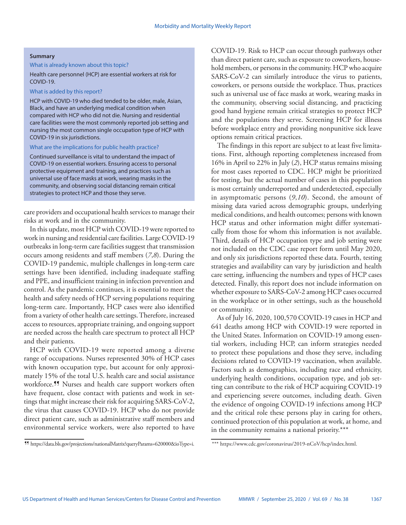#### **Summary**

#### What is already known about this topic?

Health care personnel (HCP) are essential workers at risk for COVID-19.

### What is added by this report?

HCP with COVID-19 who died tended to be older, male, Asian, Black, and have an underlying medical condition when compared with HCP who did not die. Nursing and residential care facilities were the most commonly reported job setting and nursing the most common single occupation type of HCP with COVID-19 in six jurisdictions.

## What are the implications for public health practice?

Continued surveillance is vital to understand the impact of COVID-19 on essential workers. Ensuring access to personal protective equipment and training, and practices such as universal use of face masks at work, wearing masks in the community, and observing social distancing remain critical strategies to protect HCP and those they serve.

care providers and occupational health services to manage their risks at work and in the community.

In this update, most HCP with COVID-19 were reported to work in nursing and residential care facilities. Large COVID-19 outbreaks in long-term care facilities suggest that transmission occurs among residents and staff members (*7*,*8*). During the COVID-19 pandemic, multiple challenges in long-term care settings have been identified, including inadequate staffing and PPE, and insufficient training in infection prevention and control. As the pandemic continues, it is essential to meet the health and safety needs of HCP serving populations requiring long-term care. Importantly, HCP cases were also identified from a variety of other health care settings. Therefore, increased access to resources, appropriate training, and ongoing support are needed across the health care spectrum to protect all HCP and their patients.

HCP with COVID-19 were reported among a diverse range of occupations. Nurses represented 30% of HCP cases with known occupation type, but account for only approximately 15% of the total U.S. health care and social assistance workforce.<sup>11</sup> Nurses and health care support workers often have frequent, close contact with patients and work in settings that might increase their risk for acquiring SARS-CoV-2, the virus that causes COVID-19. HCP who do not provide direct patient care, such as administrative staff members and environmental service workers, were also reported to have

¶¶ <https://data.bls.gov/projections/nationalMatrix?queryParams=620000&ioType=i>.

COVID-19. Risk to HCP can occur through pathways other than direct patient care, such as exposure to coworkers, household members, or persons in the community. HCP who acquire SARS-CoV-2 can similarly introduce the virus to patients, coworkers, or persons outside the workplace. Thus, practices such as universal use of face masks at work, wearing masks in the community, observing social distancing, and practicing good hand hygiene remain critical strategies to protect HCP and the populations they serve. Screening HCP for illness before workplace entry and providing nonpunitive sick leave options remain critical practices.

The findings in this report are subject to at least five limitations. First, although reporting completeness increased from 16% in April to 22% in July (*2*), HCP status remains missing for most cases reported to CDC. HCP might be prioritized for testing, but the actual number of cases in this population is most certainly underreported and underdetected, especially in asymptomatic persons (*9*,*10*). Second, the amount of missing data varied across demographic groups, underlying medical conditions, and health outcomes; persons with known HCP status and other information might differ systematically from those for whom this information is not available. Third, details of HCP occupation type and job setting were not included on the CDC case report form until May 2020, and only six jurisdictions reported these data. Fourth, testing strategies and availability can vary by jurisdiction and health care setting, influencing the numbers and types of HCP cases detected. Finally, this report does not include information on whether exposure to SARS-CoV-2 among HCP cases occurred in the workplace or in other settings, such as the household or community.

As of July 16, 2020, 100,570 COVID-19 cases in HCP and 641 deaths among HCP with COVID-19 were reported in the United States. Information on COVID-19 among essential workers, including HCP, can inform strategies needed to protect these populations and those they serve, including decisions related to COVID-19 vaccination, when available. Factors such as demographics, including race and ethnicity, underlying health conditions, occupation type, and job setting can contribute to the risk of HCP acquiring COVID-19 and experiencing severe outcomes, including death. Given the evidence of ongoing COVID-19 infections among HCP and the critical role these persons play in caring for others, continued protection of this population at work, at home, and in the community remains a national priority.\*\*\*

<sup>\*\*\*</sup> [https://www.cdc.gov/coronavirus/2019-nCoV/hcp/index.html.](https://www.cdc.gov/coronavirus/2019-nCoV/hcp/index.html)